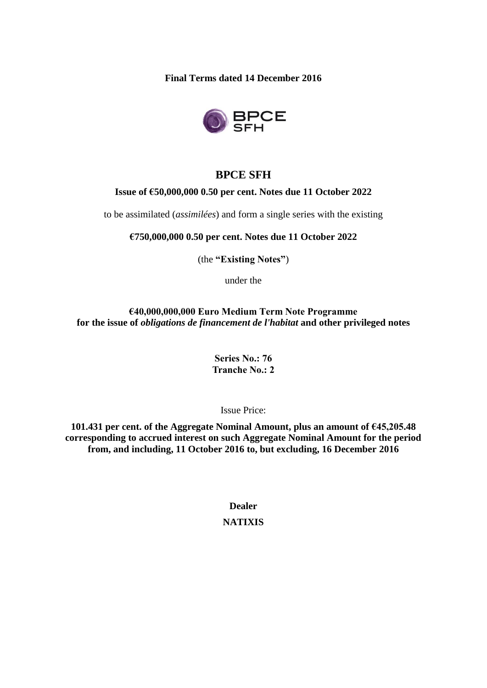**Final Terms dated 14 December 2016**



## **BPCE SFH**

#### **Issue of €50,000,000 0.50 per cent. Notes due 11 October 2022**

to be assimilated (*assimilées*) and form a single series with the existing

**€750,000,000 0.50 per cent. Notes due 11 October 2022**

(the **"Existing Notes"**)

under the

**€40,000,000,000 Euro Medium Term Note Programme for the issue of** *obligations de financement de l'habitat* **and other privileged notes**

> **Series No.: 76 Tranche No.: 2**

> > Issue Price:

**101.431 per cent. of the Aggregate Nominal Amount, plus an amount of €45,205.48 corresponding to accrued interest on such Aggregate Nominal Amount for the period from, and including, 11 October 2016 to, but excluding, 16 December 2016**

> **Dealer NATIXIS**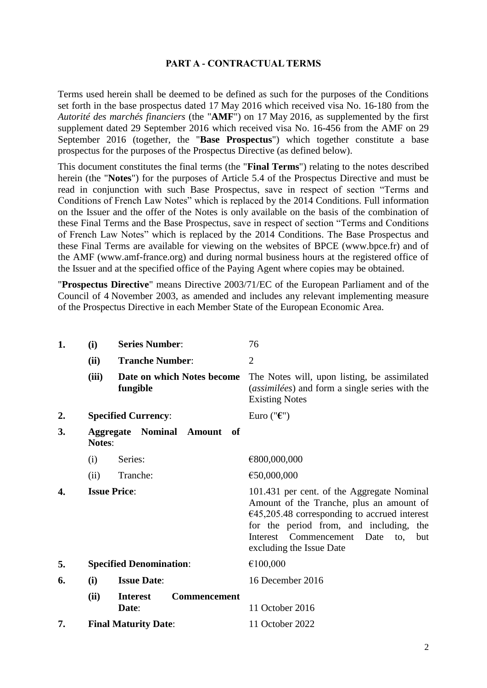#### **PART A - CONTRACTUAL TERMS**

Terms used herein shall be deemed to be defined as such for the purposes of the Conditions set forth in the base prospectus dated 17 May 2016 which received visa No. 16-180 from the *Autorité des marchés financiers* (the "**AMF**") on 17 May 2016, as supplemented by the first supplement dated 29 September 2016 which received visa No. 16-456 from the AMF on 29 September 2016 (together, the "**Base Prospectus**") which together constitute a base prospectus for the purposes of the Prospectus Directive (as defined below).

This document constitutes the final terms (the "**Final Terms**") relating to the notes described herein (the "**Notes**") for the purposes of Article 5.4 of the Prospectus Directive and must be read in conjunction with such Base Prospectus, save in respect of section "Terms and Conditions of French Law Notes" which is replaced by the 2014 Conditions. Full information on the Issuer and the offer of the Notes is only available on the basis of the combination of these Final Terms and the Base Prospectus, save in respect of section "Terms and Conditions of French Law Notes" which is replaced by the 2014 Conditions. The Base Prospectus and these Final Terms are available for viewing on the websites of BPCE (www.bpce.fr) and of the AMF (www.amf-france.org) and during normal business hours at the registered office of the Issuer and at the specified office of the Paying Agent where copies may be obtained.

"**Prospectus Directive**" means Directive 2003/71/EC of the European Parliament and of the Council of 4 November 2003, as amended and includes any relevant implementing measure of the Prospectus Directive in each Member State of the European Economic Area.

| 1. | (i)           | <b>Series Number:</b>                           | 76                                                                                                                                                                                                                                                          |
|----|---------------|-------------------------------------------------|-------------------------------------------------------------------------------------------------------------------------------------------------------------------------------------------------------------------------------------------------------------|
|    | (ii)          | <b>Tranche Number:</b>                          | $\overline{2}$                                                                                                                                                                                                                                              |
|    | (iii)         | Date on which Notes become<br>fungible          | The Notes will, upon listing, be assimilated<br>( <i>assimilées</i> ) and form a single series with the<br><b>Existing Notes</b>                                                                                                                            |
| 2. |               | <b>Specified Currency:</b>                      | Euro (" $\epsilon$ ")                                                                                                                                                                                                                                       |
| 3. | <b>Notes:</b> | <b>Aggregate</b><br><b>Nominal Amount</b><br>of |                                                                                                                                                                                                                                                             |
|    | (i)           | Series:                                         | €800,000,000                                                                                                                                                                                                                                                |
|    | (ii)          | Tranche:                                        | €50,000,000                                                                                                                                                                                                                                                 |
| 4. |               | <b>Issue Price:</b>                             | 101.431 per cent. of the Aggregate Nominal<br>Amount of the Tranche, plus an amount of<br>$€45,205.48$ corresponding to accrued interest<br>for the period from, and including, the<br>Interest Commencement Date<br>to,<br>but<br>excluding the Issue Date |
| 5. |               | <b>Specified Denomination:</b>                  | €100,000                                                                                                                                                                                                                                                    |
| 6. | (i)           | <b>Issue Date:</b>                              | 16 December 2016                                                                                                                                                                                                                                            |
|    | (ii)          | Commencement<br><b>Interest</b><br>Date:        | 11 October 2016                                                                                                                                                                                                                                             |
| 7. |               | <b>Final Maturity Date:</b>                     | 11 October 2022                                                                                                                                                                                                                                             |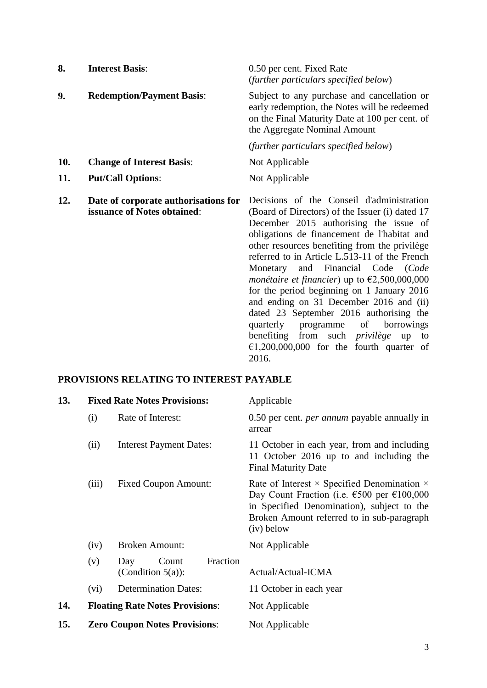| 8.  | <b>Interest Basis:</b>                                              | 0.50 per cent. Fixed Rate<br>(further particulars specified below)                                                                                                                                                                                                                                                                                                                                                                                                                                                                                                                                                                                                                                   |
|-----|---------------------------------------------------------------------|------------------------------------------------------------------------------------------------------------------------------------------------------------------------------------------------------------------------------------------------------------------------------------------------------------------------------------------------------------------------------------------------------------------------------------------------------------------------------------------------------------------------------------------------------------------------------------------------------------------------------------------------------------------------------------------------------|
| 9.  | <b>Redemption/Payment Basis:</b>                                    | Subject to any purchase and cancellation or<br>early redemption, the Notes will be redeemed<br>on the Final Maturity Date at 100 per cent. of<br>the Aggregate Nominal Amount                                                                                                                                                                                                                                                                                                                                                                                                                                                                                                                        |
|     |                                                                     | (further particulars specified below)                                                                                                                                                                                                                                                                                                                                                                                                                                                                                                                                                                                                                                                                |
| 10. | <b>Change of Interest Basis:</b>                                    | Not Applicable                                                                                                                                                                                                                                                                                                                                                                                                                                                                                                                                                                                                                                                                                       |
| 11. | <b>Put/Call Options:</b>                                            | Not Applicable                                                                                                                                                                                                                                                                                                                                                                                                                                                                                                                                                                                                                                                                                       |
| 12. | Date of corporate authorisations for<br>issuance of Notes obtained: | Decisions of the Conseil d'administration<br>(Board of Directors) of the Issuer (i) dated 17<br>December 2015 authorising the issue of<br>obligations de financement de l'habitat and<br>other resources benefiting from the privilège<br>referred to in Article L.513-11 of the French<br>Monetary and Financial Code (Code<br><i>monétaire et financier</i> ) up to $\epsilon$ 2,500,000,000<br>for the period beginning on 1 January 2016<br>and ending on 31 December 2016 and (ii)<br>dated 23 September 2016 authorising the<br>quarterly<br>programme<br>borrowings<br>of<br>benefiting from such <i>privilège</i><br>up<br>to<br>$\epsilon$ 1,200,000,000 for the fourth quarter of<br>2016. |

## **PROVISIONS RELATING TO INTEREST PAYABLE**

| 13. |       | <b>Fixed Rate Notes Provisions:</b>              | Applicable                                                                                                                                                                                                                              |
|-----|-------|--------------------------------------------------|-----------------------------------------------------------------------------------------------------------------------------------------------------------------------------------------------------------------------------------------|
|     | (i)   | Rate of Interest:                                | 0.50 per cent. <i>per annum</i> payable annually in<br>arrear                                                                                                                                                                           |
|     | (ii)  | <b>Interest Payment Dates:</b>                   | 11 October in each year, from and including<br>11 October 2016 up to and including the<br><b>Final Maturity Date</b>                                                                                                                    |
|     | (iii) | <b>Fixed Coupon Amount:</b>                      | Rate of Interest $\times$ Specified Denomination $\times$<br>Day Count Fraction (i.e. $\epsilon$ 500 per $\epsilon$ 100,000<br>in Specified Denomination), subject to the<br>Broken Amount referred to in sub-paragraph<br>$(iv)$ below |
|     | (iv)  | <b>Broken Amount:</b>                            | Not Applicable                                                                                                                                                                                                                          |
|     | (v)   | Fraction<br>Day<br>Count<br>(Condition $5(a)$ ): | Actual/Actual-ICMA                                                                                                                                                                                                                      |
|     | (vi)  | <b>Determination Dates:</b>                      | 11 October in each year                                                                                                                                                                                                                 |
| 14. |       | <b>Floating Rate Notes Provisions:</b>           | Not Applicable                                                                                                                                                                                                                          |
| 15. |       | <b>Zero Coupon Notes Provisions:</b>             | Not Applicable                                                                                                                                                                                                                          |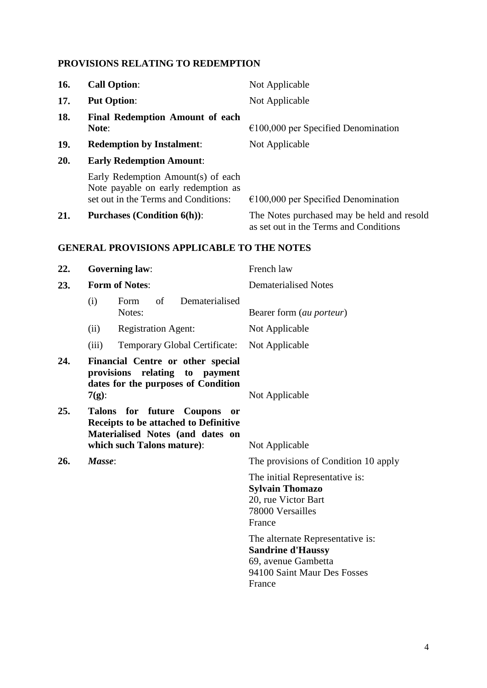# **PROVISIONS RELATING TO REDEMPTION**

| 16. | <b>Call Option:</b>                                                                                                                                                | Not Applicable                                                                                                               |
|-----|--------------------------------------------------------------------------------------------------------------------------------------------------------------------|------------------------------------------------------------------------------------------------------------------------------|
| 17. | <b>Put Option:</b>                                                                                                                                                 | Not Applicable                                                                                                               |
| 18. | Final Redemption Amount of each<br>Note:                                                                                                                           | $€100,000$ per Specified Denomination                                                                                        |
| 19. | <b>Redemption by Instalment:</b>                                                                                                                                   | Not Applicable                                                                                                               |
| 20. | <b>Early Redemption Amount:</b>                                                                                                                                    |                                                                                                                              |
|     | Early Redemption Amount(s) of each<br>Note payable on early redemption as<br>set out in the Terms and Conditions:                                                  | $€100,000$ per Specified Denomination                                                                                        |
| 21. | <b>Purchases (Condition 6(h)):</b>                                                                                                                                 | The Notes purchased may be held and resold<br>as set out in the Terms and Conditions                                         |
|     | <b>GENERAL PROVISIONS APPLICABLE TO THE NOTES</b>                                                                                                                  |                                                                                                                              |
| 22. | <b>Governing law:</b>                                                                                                                                              | French law                                                                                                                   |
| 23. | <b>Form of Notes:</b>                                                                                                                                              | <b>Dematerialised Notes</b>                                                                                                  |
|     | Dematerialised<br>(i)<br>of<br>Form<br>Notes:                                                                                                                      | Bearer form (au porteur)                                                                                                     |
|     | <b>Registration Agent:</b><br>(ii)                                                                                                                                 | Not Applicable                                                                                                               |
|     | Temporary Global Certificate:<br>(iii)                                                                                                                             | Not Applicable                                                                                                               |
| 24. | Financial Centre or other special<br>provisions<br>relating<br>to payment<br>dates for the purposes of Condition<br>$7(g)$ :                                       | Not Applicable                                                                                                               |
| 25. | for future Coupons<br><b>Talons</b><br><b>or</b><br><b>Receipts to be attached to Definitive</b><br>Materialised Notes (and dates on<br>which such Talons mature): | Not Applicable                                                                                                               |
| 26. | Masse:                                                                                                                                                             | The provisions of Condition 10 apply                                                                                         |
|     |                                                                                                                                                                    | The initial Representative is:<br><b>Sylvain Thomazo</b><br>20, rue Victor Bart<br>78000 Versailles<br>France                |
|     |                                                                                                                                                                    | The alternate Representative is:<br><b>Sandrine d'Haussy</b><br>69, avenue Gambetta<br>94100 Saint Maur Des Fosses<br>France |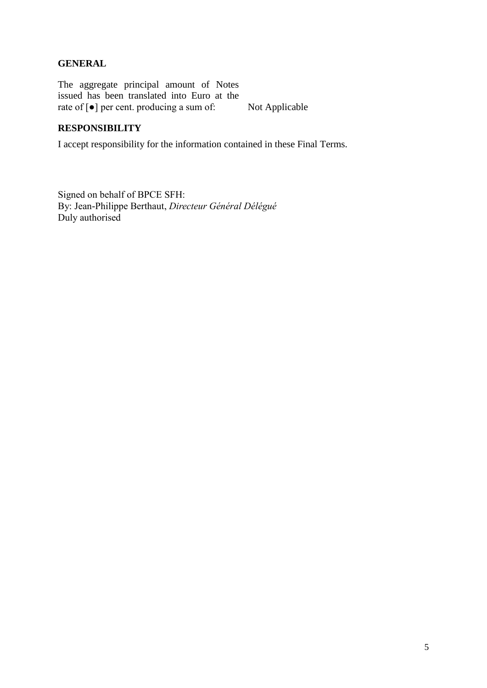## **GENERAL**

The aggregate principal amount of Notes issued has been translated into Euro at the rate of [●] per cent. producing a sum of: Not Applicable

### **RESPONSIBILITY**

I accept responsibility for the information contained in these Final Terms.

Signed on behalf of BPCE SFH: By: Jean-Philippe Berthaut, *Directeur Général Délégué* Duly authorised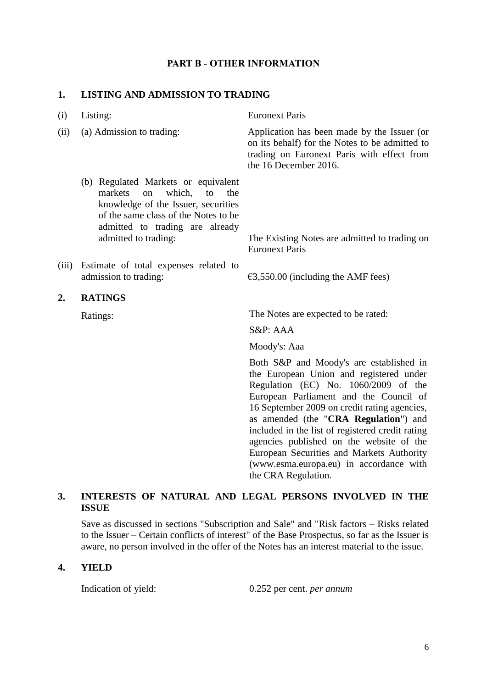### **PART B - OTHER INFORMATION**

#### **1. LISTING AND ADMISSION TO TRADING**

| (i)   | Listing:                                                                                                                                                                                                              | <b>Euronext Paris</b>                                                                                                                                                                                                                                                                                                                                                                                                                                 |
|-------|-----------------------------------------------------------------------------------------------------------------------------------------------------------------------------------------------------------------------|-------------------------------------------------------------------------------------------------------------------------------------------------------------------------------------------------------------------------------------------------------------------------------------------------------------------------------------------------------------------------------------------------------------------------------------------------------|
| (ii)  | (a) Admission to trading:                                                                                                                                                                                             | Application has been made by the Issuer (or<br>on its behalf) for the Notes to be admitted to<br>trading on Euronext Paris with effect from<br>the 16 December 2016.                                                                                                                                                                                                                                                                                  |
|       | (b) Regulated Markets or equivalent<br>which,<br>markets<br>to<br>on<br>the<br>knowledge of the Issuer, securities<br>of the same class of the Notes to be<br>admitted to trading are already<br>admitted to trading: | The Existing Notes are admitted to trading on<br><b>Euronext Paris</b>                                                                                                                                                                                                                                                                                                                                                                                |
| (iii) | Estimate of total expenses related to<br>admission to trading:                                                                                                                                                        | $\epsilon$ 3,550.00 (including the AMF fees)                                                                                                                                                                                                                                                                                                                                                                                                          |
| 2.    | <b>RATINGS</b>                                                                                                                                                                                                        |                                                                                                                                                                                                                                                                                                                                                                                                                                                       |
|       | Ratings:                                                                                                                                                                                                              | The Notes are expected to be rated:                                                                                                                                                                                                                                                                                                                                                                                                                   |
|       |                                                                                                                                                                                                                       | S&P: AAA                                                                                                                                                                                                                                                                                                                                                                                                                                              |
|       |                                                                                                                                                                                                                       | Moody's: Aaa                                                                                                                                                                                                                                                                                                                                                                                                                                          |
|       |                                                                                                                                                                                                                       | Both S&P and Moody's are established in<br>the European Union and registered under<br>Regulation (EC) No. 1060/2009 of the<br>European Parliament and the Council of<br>16 September 2009 on credit rating agencies,<br>as amended (the "CRA Regulation") and<br>included in the list of registered credit rating<br>agencies published on the website of the<br>European Securities and Markets Authority<br>(www.esma.europa.eu) in accordance with |

#### **3. INTERESTS OF NATURAL AND LEGAL PERSONS INVOLVED IN THE ISSUE**

Save as discussed in sections "Subscription and Sale" and "Risk factors – Risks related to the Issuer – Certain conflicts of interest" of the Base Prospectus, so far as the Issuer is aware, no person involved in the offer of the Notes has an interest material to the issue.

#### **4. YIELD**

Indication of yield: 0.252 per cent. *per annum*

the CRA Regulation.